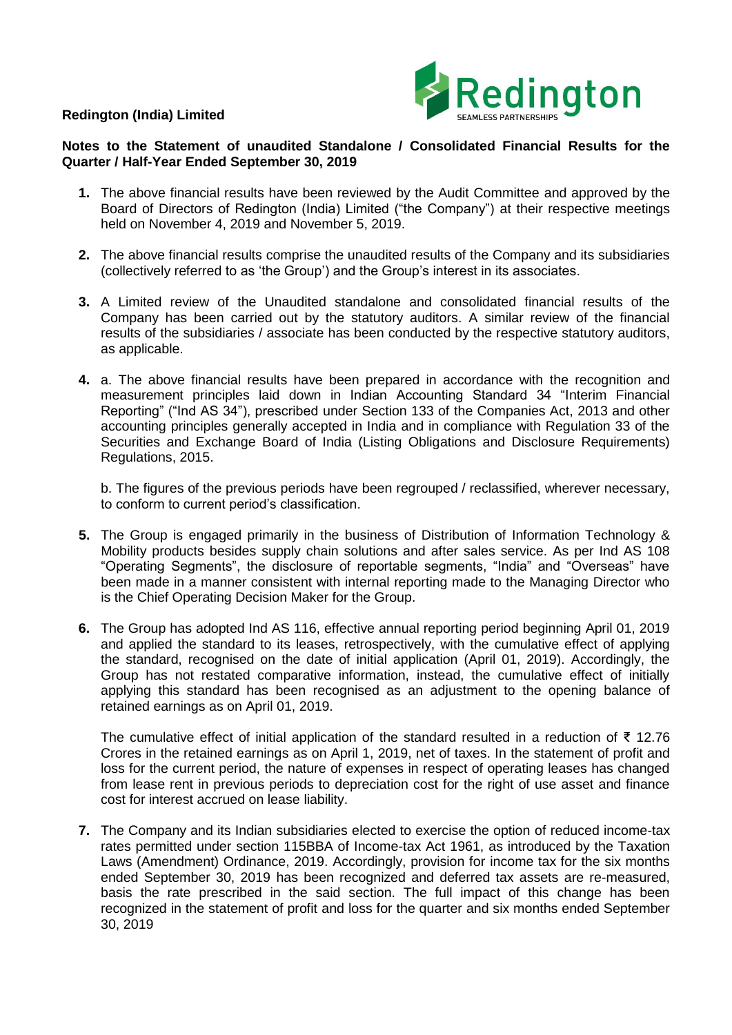## **Redington (India) Limited**



## **Notes to the Statement of unaudited Standalone / Consolidated Financial Results for the Quarter / Half-Year Ended September 30, 2019**

- **1.** The above financial results have been reviewed by the Audit Committee and approved by the Board of Directors of Redington (India) Limited ("the Company") at their respective meetings held on November 4, 2019 and November 5, 2019.
- **2.** The above financial results comprise the unaudited results of the Company and its subsidiaries (collectively referred to as 'the Group') and the Group's interest in its associates.
- **3.** A Limited review of the Unaudited standalone and consolidated financial results of the Company has been carried out by the statutory auditors. A similar review of the financial results of the subsidiaries / associate has been conducted by the respective statutory auditors, as applicable.
- **4.** a. The above financial results have been prepared in accordance with the recognition and measurement principles laid down in Indian Accounting Standard 34 "Interim Financial Reporting" ("Ind AS 34"), prescribed under Section 133 of the Companies Act, 2013 and other accounting principles generally accepted in India and in compliance with Regulation 33 of the Securities and Exchange Board of India (Listing Obligations and Disclosure Requirements) Regulations, 2015.

b. The figures of the previous periods have been regrouped / reclassified, wherever necessary, to conform to current period's classification.

- **5.** The Group is engaged primarily in the business of Distribution of Information Technology & Mobility products besides supply chain solutions and after sales service. As per Ind AS 108 "Operating Segments", the disclosure of reportable segments, "India" and "Overseas" have been made in a manner consistent with internal reporting made to the Managing Director who is the Chief Operating Decision Maker for the Group.
- **6.** The Group has adopted Ind AS 116, effective annual reporting period beginning April 01, 2019 and applied the standard to its leases, retrospectively, with the cumulative effect of applying the standard, recognised on the date of initial application (April 01, 2019). Accordingly, the Group has not restated comparative information, instead, the cumulative effect of initially applying this standard has been recognised as an adjustment to the opening balance of retained earnings as on April 01, 2019.

The cumulative effect of initial application of the standard resulted in a reduction of ₹ 12.76 Crores in the retained earnings as on April 1, 2019, net of taxes. In the statement of profit and loss for the current period, the nature of expenses in respect of operating leases has changed from lease rent in previous periods to depreciation cost for the right of use asset and finance cost for interest accrued on lease liability.

**7.** The Company and its Indian subsidiaries elected to exercise the option of reduced income-tax rates permitted under section 115BBA of Income-tax Act 1961, as introduced by the Taxation Laws (Amendment) Ordinance, 2019. Accordingly, provision for income tax for the six months ended September 30, 2019 has been recognized and deferred tax assets are re-measured, basis the rate prescribed in the said section. The full impact of this change has been recognized in the statement of profit and loss for the quarter and six months ended September 30, 2019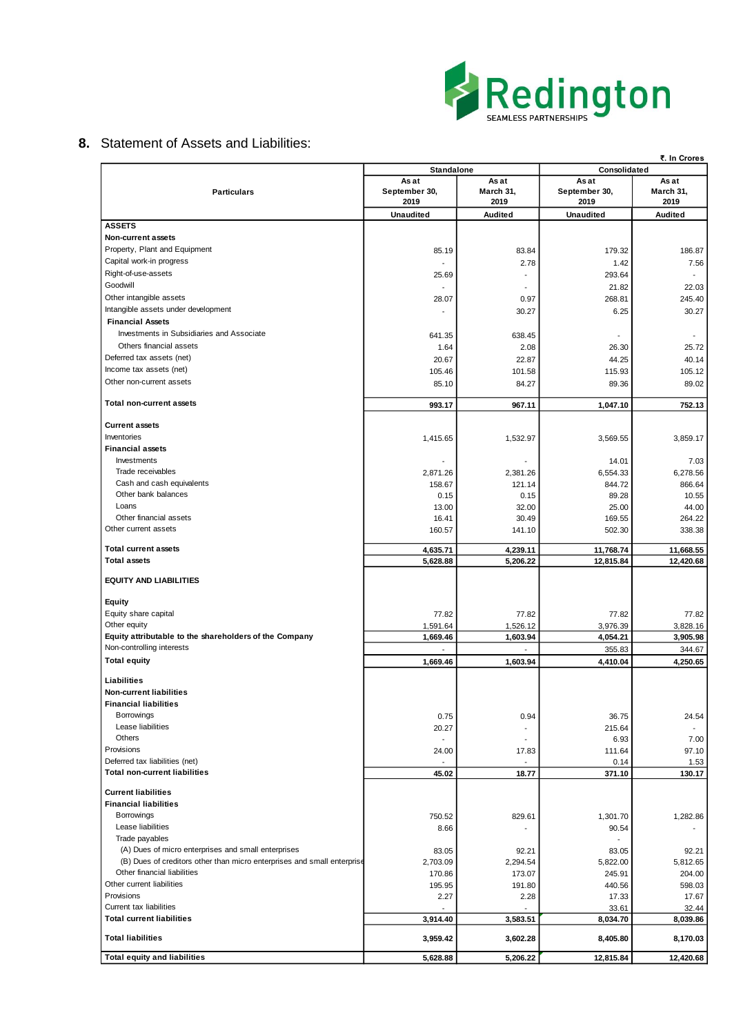

## **8.** Statement of Assets and Liabilities:

| As at<br>As at<br>As at<br>As at<br>September 30,<br>March 31,<br>September 30,<br>March 31,<br><b>Particulars</b><br>2019<br>2019<br>2019<br>2019<br><b>Unaudited</b><br>Audited<br><b>Unaudited</b><br>Audited<br><b>ASSETS</b><br>Non-current assets<br>Property, Plant and Equipment<br>83.84<br>85.19<br>179.32<br>Capital work-in progress<br>2.78<br>1.42<br>Right-of-use-assets<br>293.64<br>25.69<br>$\overline{a}$<br>$\blacksquare$<br>Goodwill<br>21.82<br>22.03<br>Other intangible assets<br>268.81<br>28.07<br>0.97<br>245.40<br>Intangible assets under development<br>30.27<br>6.25<br>30.27<br><b>Financial Assets</b><br>Investments in Subsidiaries and Associate<br>641.35<br>638.45<br>$\overline{\phantom{a}}$<br>Others financial assets<br>2.08<br>1.64<br>26.30<br>25.72<br>Deferred tax assets (net)<br>22.87<br>44.25<br>20.67<br>40.14<br>Income tax assets (net)<br>105.46<br>101.58<br>115.93<br>Other non-current assets<br>85.10<br>84.27<br>89.36<br>Total non-current assets<br>967.11<br>993.17<br>1,047.10<br>752.13<br><b>Current assets</b><br>Inventories<br>1,415.65<br>1,532.97<br>3,569.55<br>3,859.17<br><b>Financial assets</b><br>Investments<br>14.01<br>7.03<br>Trade receivables<br>2,871.26<br>2,381.26<br>6,554.33<br>6,278.56<br>Cash and cash equivalents<br>158.67<br>844.72<br>121.14<br>Other bank balances<br>0.15<br>0.15<br>89.28<br>Loans<br>32.00<br>25.00<br>13.00<br>Other financial assets<br>30.49<br>16.41<br>169.55<br>Other current assets<br>502.30<br>160.57<br>141.10<br><b>Total current assets</b><br>4,239.11<br>11,768.74<br>4,635.71<br><b>Total assets</b><br>5,628.88<br>5,206.22<br>12,815.84<br><b>EQUITY AND LIABILITIES</b><br><b>Equity</b><br>Equity share capital<br>77.82<br>77.82<br>77.82<br>Other equity<br>1,591.64<br>1,526.12<br>3,976.39<br>Equity attributable to the shareholders of the Company<br>1,669.46<br>1,603.94<br>4,054.21<br>Non-controlling interests<br>355.83<br><b>Total equity</b><br>1,669.46<br>1,603.94<br>4,410.04<br>4,250.65<br>Liabilities<br><b>Non-current liabilities</b><br><b>Financial liabilities</b><br>Borrowings<br>0.75<br>0.94<br>36.75<br>Lease liabilities<br>215.64<br>20.27<br>$\sim$<br>Others<br>7.00<br>6.93<br>ä,<br>Provisions<br>97.10<br>24.00<br>17.83<br>111.64<br>Deferred tax liabilities (net)<br>0.14<br>1.53<br>$\overline{\phantom{a}}$<br><b>Total non-current liabilities</b><br>371.10<br>45.02<br>18.77<br><b>Current liabilities</b><br><b>Financial liabilities</b><br><b>Borrowings</b><br>750.52<br>829.61<br>1,301.70<br>Lease liabilities<br>8.66<br>90.54<br>L,<br>Trade payables<br>(A) Dues of micro enterprises and small enterprises<br>83.05<br>92.21<br>83.05<br>(B) Dues of creditors other than micro enterprises and small enterprise<br>2,703.09<br>5,822.00<br>2,294.54<br>5,812.65<br>Other financial liabilities<br>170.86<br>173.07<br>245.91<br>204.00<br>Other current liabilities<br>195.95<br>191.80<br>440.56<br>598.03<br>Provisions<br>2.27<br>2.28<br>17.33<br>17.67<br>Current tax liabilities<br>33.61<br>32.44<br><b>Total current liabilities</b><br>3,914.40<br>3,583.51<br>8,034.70<br><b>Total liabilities</b><br>3,959.42<br>3,602.28<br>8,405.80<br><b>Total equity and liabilities</b><br>5,628.88<br>5,206.22<br>12,815.84 |  | Standalone |  | ₹. In Crores<br>Consolidated |  |
|-----------------------------------------------------------------------------------------------------------------------------------------------------------------------------------------------------------------------------------------------------------------------------------------------------------------------------------------------------------------------------------------------------------------------------------------------------------------------------------------------------------------------------------------------------------------------------------------------------------------------------------------------------------------------------------------------------------------------------------------------------------------------------------------------------------------------------------------------------------------------------------------------------------------------------------------------------------------------------------------------------------------------------------------------------------------------------------------------------------------------------------------------------------------------------------------------------------------------------------------------------------------------------------------------------------------------------------------------------------------------------------------------------------------------------------------------------------------------------------------------------------------------------------------------------------------------------------------------------------------------------------------------------------------------------------------------------------------------------------------------------------------------------------------------------------------------------------------------------------------------------------------------------------------------------------------------------------------------------------------------------------------------------------------------------------------------------------------------------------------------------------------------------------------------------------------------------------------------------------------------------------------------------------------------------------------------------------------------------------------------------------------------------------------------------------------------------------------------------------------------------------------------------------------------------------------------------------------------------------------------------------------------------------------------------------------------------------------------------------------------------------------------------------------------------------------------------------------------------------------------------------------------------------------------------------------------------------------------------------------------------------------------------------------------------------------------------------------------------------------------------------------------------------------------------------------------------------------------------------------------------------------------------------------------------------------------------|--|------------|--|------------------------------|--|
|                                                                                                                                                                                                                                                                                                                                                                                                                                                                                                                                                                                                                                                                                                                                                                                                                                                                                                                                                                                                                                                                                                                                                                                                                                                                                                                                                                                                                                                                                                                                                                                                                                                                                                                                                                                                                                                                                                                                                                                                                                                                                                                                                                                                                                                                                                                                                                                                                                                                                                                                                                                                                                                                                                                                                                                                                                                                                                                                                                                                                                                                                                                                                                                                                                                                                                                             |  |            |  |                              |  |
|                                                                                                                                                                                                                                                                                                                                                                                                                                                                                                                                                                                                                                                                                                                                                                                                                                                                                                                                                                                                                                                                                                                                                                                                                                                                                                                                                                                                                                                                                                                                                                                                                                                                                                                                                                                                                                                                                                                                                                                                                                                                                                                                                                                                                                                                                                                                                                                                                                                                                                                                                                                                                                                                                                                                                                                                                                                                                                                                                                                                                                                                                                                                                                                                                                                                                                                             |  |            |  |                              |  |
|                                                                                                                                                                                                                                                                                                                                                                                                                                                                                                                                                                                                                                                                                                                                                                                                                                                                                                                                                                                                                                                                                                                                                                                                                                                                                                                                                                                                                                                                                                                                                                                                                                                                                                                                                                                                                                                                                                                                                                                                                                                                                                                                                                                                                                                                                                                                                                                                                                                                                                                                                                                                                                                                                                                                                                                                                                                                                                                                                                                                                                                                                                                                                                                                                                                                                                                             |  |            |  |                              |  |
|                                                                                                                                                                                                                                                                                                                                                                                                                                                                                                                                                                                                                                                                                                                                                                                                                                                                                                                                                                                                                                                                                                                                                                                                                                                                                                                                                                                                                                                                                                                                                                                                                                                                                                                                                                                                                                                                                                                                                                                                                                                                                                                                                                                                                                                                                                                                                                                                                                                                                                                                                                                                                                                                                                                                                                                                                                                                                                                                                                                                                                                                                                                                                                                                                                                                                                                             |  |            |  |                              |  |
|                                                                                                                                                                                                                                                                                                                                                                                                                                                                                                                                                                                                                                                                                                                                                                                                                                                                                                                                                                                                                                                                                                                                                                                                                                                                                                                                                                                                                                                                                                                                                                                                                                                                                                                                                                                                                                                                                                                                                                                                                                                                                                                                                                                                                                                                                                                                                                                                                                                                                                                                                                                                                                                                                                                                                                                                                                                                                                                                                                                                                                                                                                                                                                                                                                                                                                                             |  |            |  | 186.87                       |  |
|                                                                                                                                                                                                                                                                                                                                                                                                                                                                                                                                                                                                                                                                                                                                                                                                                                                                                                                                                                                                                                                                                                                                                                                                                                                                                                                                                                                                                                                                                                                                                                                                                                                                                                                                                                                                                                                                                                                                                                                                                                                                                                                                                                                                                                                                                                                                                                                                                                                                                                                                                                                                                                                                                                                                                                                                                                                                                                                                                                                                                                                                                                                                                                                                                                                                                                                             |  |            |  | 7.56                         |  |
|                                                                                                                                                                                                                                                                                                                                                                                                                                                                                                                                                                                                                                                                                                                                                                                                                                                                                                                                                                                                                                                                                                                                                                                                                                                                                                                                                                                                                                                                                                                                                                                                                                                                                                                                                                                                                                                                                                                                                                                                                                                                                                                                                                                                                                                                                                                                                                                                                                                                                                                                                                                                                                                                                                                                                                                                                                                                                                                                                                                                                                                                                                                                                                                                                                                                                                                             |  |            |  |                              |  |
|                                                                                                                                                                                                                                                                                                                                                                                                                                                                                                                                                                                                                                                                                                                                                                                                                                                                                                                                                                                                                                                                                                                                                                                                                                                                                                                                                                                                                                                                                                                                                                                                                                                                                                                                                                                                                                                                                                                                                                                                                                                                                                                                                                                                                                                                                                                                                                                                                                                                                                                                                                                                                                                                                                                                                                                                                                                                                                                                                                                                                                                                                                                                                                                                                                                                                                                             |  |            |  |                              |  |
|                                                                                                                                                                                                                                                                                                                                                                                                                                                                                                                                                                                                                                                                                                                                                                                                                                                                                                                                                                                                                                                                                                                                                                                                                                                                                                                                                                                                                                                                                                                                                                                                                                                                                                                                                                                                                                                                                                                                                                                                                                                                                                                                                                                                                                                                                                                                                                                                                                                                                                                                                                                                                                                                                                                                                                                                                                                                                                                                                                                                                                                                                                                                                                                                                                                                                                                             |  |            |  |                              |  |
|                                                                                                                                                                                                                                                                                                                                                                                                                                                                                                                                                                                                                                                                                                                                                                                                                                                                                                                                                                                                                                                                                                                                                                                                                                                                                                                                                                                                                                                                                                                                                                                                                                                                                                                                                                                                                                                                                                                                                                                                                                                                                                                                                                                                                                                                                                                                                                                                                                                                                                                                                                                                                                                                                                                                                                                                                                                                                                                                                                                                                                                                                                                                                                                                                                                                                                                             |  |            |  |                              |  |
|                                                                                                                                                                                                                                                                                                                                                                                                                                                                                                                                                                                                                                                                                                                                                                                                                                                                                                                                                                                                                                                                                                                                                                                                                                                                                                                                                                                                                                                                                                                                                                                                                                                                                                                                                                                                                                                                                                                                                                                                                                                                                                                                                                                                                                                                                                                                                                                                                                                                                                                                                                                                                                                                                                                                                                                                                                                                                                                                                                                                                                                                                                                                                                                                                                                                                                                             |  |            |  |                              |  |
|                                                                                                                                                                                                                                                                                                                                                                                                                                                                                                                                                                                                                                                                                                                                                                                                                                                                                                                                                                                                                                                                                                                                                                                                                                                                                                                                                                                                                                                                                                                                                                                                                                                                                                                                                                                                                                                                                                                                                                                                                                                                                                                                                                                                                                                                                                                                                                                                                                                                                                                                                                                                                                                                                                                                                                                                                                                                                                                                                                                                                                                                                                                                                                                                                                                                                                                             |  |            |  |                              |  |
|                                                                                                                                                                                                                                                                                                                                                                                                                                                                                                                                                                                                                                                                                                                                                                                                                                                                                                                                                                                                                                                                                                                                                                                                                                                                                                                                                                                                                                                                                                                                                                                                                                                                                                                                                                                                                                                                                                                                                                                                                                                                                                                                                                                                                                                                                                                                                                                                                                                                                                                                                                                                                                                                                                                                                                                                                                                                                                                                                                                                                                                                                                                                                                                                                                                                                                                             |  |            |  |                              |  |
|                                                                                                                                                                                                                                                                                                                                                                                                                                                                                                                                                                                                                                                                                                                                                                                                                                                                                                                                                                                                                                                                                                                                                                                                                                                                                                                                                                                                                                                                                                                                                                                                                                                                                                                                                                                                                                                                                                                                                                                                                                                                                                                                                                                                                                                                                                                                                                                                                                                                                                                                                                                                                                                                                                                                                                                                                                                                                                                                                                                                                                                                                                                                                                                                                                                                                                                             |  |            |  | 105.12                       |  |
|                                                                                                                                                                                                                                                                                                                                                                                                                                                                                                                                                                                                                                                                                                                                                                                                                                                                                                                                                                                                                                                                                                                                                                                                                                                                                                                                                                                                                                                                                                                                                                                                                                                                                                                                                                                                                                                                                                                                                                                                                                                                                                                                                                                                                                                                                                                                                                                                                                                                                                                                                                                                                                                                                                                                                                                                                                                                                                                                                                                                                                                                                                                                                                                                                                                                                                                             |  |            |  | 89.02                        |  |
|                                                                                                                                                                                                                                                                                                                                                                                                                                                                                                                                                                                                                                                                                                                                                                                                                                                                                                                                                                                                                                                                                                                                                                                                                                                                                                                                                                                                                                                                                                                                                                                                                                                                                                                                                                                                                                                                                                                                                                                                                                                                                                                                                                                                                                                                                                                                                                                                                                                                                                                                                                                                                                                                                                                                                                                                                                                                                                                                                                                                                                                                                                                                                                                                                                                                                                                             |  |            |  |                              |  |
|                                                                                                                                                                                                                                                                                                                                                                                                                                                                                                                                                                                                                                                                                                                                                                                                                                                                                                                                                                                                                                                                                                                                                                                                                                                                                                                                                                                                                                                                                                                                                                                                                                                                                                                                                                                                                                                                                                                                                                                                                                                                                                                                                                                                                                                                                                                                                                                                                                                                                                                                                                                                                                                                                                                                                                                                                                                                                                                                                                                                                                                                                                                                                                                                                                                                                                                             |  |            |  |                              |  |
|                                                                                                                                                                                                                                                                                                                                                                                                                                                                                                                                                                                                                                                                                                                                                                                                                                                                                                                                                                                                                                                                                                                                                                                                                                                                                                                                                                                                                                                                                                                                                                                                                                                                                                                                                                                                                                                                                                                                                                                                                                                                                                                                                                                                                                                                                                                                                                                                                                                                                                                                                                                                                                                                                                                                                                                                                                                                                                                                                                                                                                                                                                                                                                                                                                                                                                                             |  |            |  |                              |  |
|                                                                                                                                                                                                                                                                                                                                                                                                                                                                                                                                                                                                                                                                                                                                                                                                                                                                                                                                                                                                                                                                                                                                                                                                                                                                                                                                                                                                                                                                                                                                                                                                                                                                                                                                                                                                                                                                                                                                                                                                                                                                                                                                                                                                                                                                                                                                                                                                                                                                                                                                                                                                                                                                                                                                                                                                                                                                                                                                                                                                                                                                                                                                                                                                                                                                                                                             |  |            |  |                              |  |
|                                                                                                                                                                                                                                                                                                                                                                                                                                                                                                                                                                                                                                                                                                                                                                                                                                                                                                                                                                                                                                                                                                                                                                                                                                                                                                                                                                                                                                                                                                                                                                                                                                                                                                                                                                                                                                                                                                                                                                                                                                                                                                                                                                                                                                                                                                                                                                                                                                                                                                                                                                                                                                                                                                                                                                                                                                                                                                                                                                                                                                                                                                                                                                                                                                                                                                                             |  |            |  |                              |  |
|                                                                                                                                                                                                                                                                                                                                                                                                                                                                                                                                                                                                                                                                                                                                                                                                                                                                                                                                                                                                                                                                                                                                                                                                                                                                                                                                                                                                                                                                                                                                                                                                                                                                                                                                                                                                                                                                                                                                                                                                                                                                                                                                                                                                                                                                                                                                                                                                                                                                                                                                                                                                                                                                                                                                                                                                                                                                                                                                                                                                                                                                                                                                                                                                                                                                                                                             |  |            |  |                              |  |
|                                                                                                                                                                                                                                                                                                                                                                                                                                                                                                                                                                                                                                                                                                                                                                                                                                                                                                                                                                                                                                                                                                                                                                                                                                                                                                                                                                                                                                                                                                                                                                                                                                                                                                                                                                                                                                                                                                                                                                                                                                                                                                                                                                                                                                                                                                                                                                                                                                                                                                                                                                                                                                                                                                                                                                                                                                                                                                                                                                                                                                                                                                                                                                                                                                                                                                                             |  |            |  | 866.64                       |  |
|                                                                                                                                                                                                                                                                                                                                                                                                                                                                                                                                                                                                                                                                                                                                                                                                                                                                                                                                                                                                                                                                                                                                                                                                                                                                                                                                                                                                                                                                                                                                                                                                                                                                                                                                                                                                                                                                                                                                                                                                                                                                                                                                                                                                                                                                                                                                                                                                                                                                                                                                                                                                                                                                                                                                                                                                                                                                                                                                                                                                                                                                                                                                                                                                                                                                                                                             |  |            |  | 10.55                        |  |
|                                                                                                                                                                                                                                                                                                                                                                                                                                                                                                                                                                                                                                                                                                                                                                                                                                                                                                                                                                                                                                                                                                                                                                                                                                                                                                                                                                                                                                                                                                                                                                                                                                                                                                                                                                                                                                                                                                                                                                                                                                                                                                                                                                                                                                                                                                                                                                                                                                                                                                                                                                                                                                                                                                                                                                                                                                                                                                                                                                                                                                                                                                                                                                                                                                                                                                                             |  |            |  | 44.00                        |  |
|                                                                                                                                                                                                                                                                                                                                                                                                                                                                                                                                                                                                                                                                                                                                                                                                                                                                                                                                                                                                                                                                                                                                                                                                                                                                                                                                                                                                                                                                                                                                                                                                                                                                                                                                                                                                                                                                                                                                                                                                                                                                                                                                                                                                                                                                                                                                                                                                                                                                                                                                                                                                                                                                                                                                                                                                                                                                                                                                                                                                                                                                                                                                                                                                                                                                                                                             |  |            |  | 264.22                       |  |
|                                                                                                                                                                                                                                                                                                                                                                                                                                                                                                                                                                                                                                                                                                                                                                                                                                                                                                                                                                                                                                                                                                                                                                                                                                                                                                                                                                                                                                                                                                                                                                                                                                                                                                                                                                                                                                                                                                                                                                                                                                                                                                                                                                                                                                                                                                                                                                                                                                                                                                                                                                                                                                                                                                                                                                                                                                                                                                                                                                                                                                                                                                                                                                                                                                                                                                                             |  |            |  | 338.38                       |  |
|                                                                                                                                                                                                                                                                                                                                                                                                                                                                                                                                                                                                                                                                                                                                                                                                                                                                                                                                                                                                                                                                                                                                                                                                                                                                                                                                                                                                                                                                                                                                                                                                                                                                                                                                                                                                                                                                                                                                                                                                                                                                                                                                                                                                                                                                                                                                                                                                                                                                                                                                                                                                                                                                                                                                                                                                                                                                                                                                                                                                                                                                                                                                                                                                                                                                                                                             |  |            |  | 11,668.55                    |  |
|                                                                                                                                                                                                                                                                                                                                                                                                                                                                                                                                                                                                                                                                                                                                                                                                                                                                                                                                                                                                                                                                                                                                                                                                                                                                                                                                                                                                                                                                                                                                                                                                                                                                                                                                                                                                                                                                                                                                                                                                                                                                                                                                                                                                                                                                                                                                                                                                                                                                                                                                                                                                                                                                                                                                                                                                                                                                                                                                                                                                                                                                                                                                                                                                                                                                                                                             |  |            |  | 12,420.68                    |  |
|                                                                                                                                                                                                                                                                                                                                                                                                                                                                                                                                                                                                                                                                                                                                                                                                                                                                                                                                                                                                                                                                                                                                                                                                                                                                                                                                                                                                                                                                                                                                                                                                                                                                                                                                                                                                                                                                                                                                                                                                                                                                                                                                                                                                                                                                                                                                                                                                                                                                                                                                                                                                                                                                                                                                                                                                                                                                                                                                                                                                                                                                                                                                                                                                                                                                                                                             |  |            |  |                              |  |
|                                                                                                                                                                                                                                                                                                                                                                                                                                                                                                                                                                                                                                                                                                                                                                                                                                                                                                                                                                                                                                                                                                                                                                                                                                                                                                                                                                                                                                                                                                                                                                                                                                                                                                                                                                                                                                                                                                                                                                                                                                                                                                                                                                                                                                                                                                                                                                                                                                                                                                                                                                                                                                                                                                                                                                                                                                                                                                                                                                                                                                                                                                                                                                                                                                                                                                                             |  |            |  |                              |  |
|                                                                                                                                                                                                                                                                                                                                                                                                                                                                                                                                                                                                                                                                                                                                                                                                                                                                                                                                                                                                                                                                                                                                                                                                                                                                                                                                                                                                                                                                                                                                                                                                                                                                                                                                                                                                                                                                                                                                                                                                                                                                                                                                                                                                                                                                                                                                                                                                                                                                                                                                                                                                                                                                                                                                                                                                                                                                                                                                                                                                                                                                                                                                                                                                                                                                                                                             |  |            |  | 77.82                        |  |
|                                                                                                                                                                                                                                                                                                                                                                                                                                                                                                                                                                                                                                                                                                                                                                                                                                                                                                                                                                                                                                                                                                                                                                                                                                                                                                                                                                                                                                                                                                                                                                                                                                                                                                                                                                                                                                                                                                                                                                                                                                                                                                                                                                                                                                                                                                                                                                                                                                                                                                                                                                                                                                                                                                                                                                                                                                                                                                                                                                                                                                                                                                                                                                                                                                                                                                                             |  |            |  | 3,828.16                     |  |
|                                                                                                                                                                                                                                                                                                                                                                                                                                                                                                                                                                                                                                                                                                                                                                                                                                                                                                                                                                                                                                                                                                                                                                                                                                                                                                                                                                                                                                                                                                                                                                                                                                                                                                                                                                                                                                                                                                                                                                                                                                                                                                                                                                                                                                                                                                                                                                                                                                                                                                                                                                                                                                                                                                                                                                                                                                                                                                                                                                                                                                                                                                                                                                                                                                                                                                                             |  |            |  | 3,905.98                     |  |
|                                                                                                                                                                                                                                                                                                                                                                                                                                                                                                                                                                                                                                                                                                                                                                                                                                                                                                                                                                                                                                                                                                                                                                                                                                                                                                                                                                                                                                                                                                                                                                                                                                                                                                                                                                                                                                                                                                                                                                                                                                                                                                                                                                                                                                                                                                                                                                                                                                                                                                                                                                                                                                                                                                                                                                                                                                                                                                                                                                                                                                                                                                                                                                                                                                                                                                                             |  |            |  | 344.67                       |  |
|                                                                                                                                                                                                                                                                                                                                                                                                                                                                                                                                                                                                                                                                                                                                                                                                                                                                                                                                                                                                                                                                                                                                                                                                                                                                                                                                                                                                                                                                                                                                                                                                                                                                                                                                                                                                                                                                                                                                                                                                                                                                                                                                                                                                                                                                                                                                                                                                                                                                                                                                                                                                                                                                                                                                                                                                                                                                                                                                                                                                                                                                                                                                                                                                                                                                                                                             |  |            |  |                              |  |
|                                                                                                                                                                                                                                                                                                                                                                                                                                                                                                                                                                                                                                                                                                                                                                                                                                                                                                                                                                                                                                                                                                                                                                                                                                                                                                                                                                                                                                                                                                                                                                                                                                                                                                                                                                                                                                                                                                                                                                                                                                                                                                                                                                                                                                                                                                                                                                                                                                                                                                                                                                                                                                                                                                                                                                                                                                                                                                                                                                                                                                                                                                                                                                                                                                                                                                                             |  |            |  |                              |  |
|                                                                                                                                                                                                                                                                                                                                                                                                                                                                                                                                                                                                                                                                                                                                                                                                                                                                                                                                                                                                                                                                                                                                                                                                                                                                                                                                                                                                                                                                                                                                                                                                                                                                                                                                                                                                                                                                                                                                                                                                                                                                                                                                                                                                                                                                                                                                                                                                                                                                                                                                                                                                                                                                                                                                                                                                                                                                                                                                                                                                                                                                                                                                                                                                                                                                                                                             |  |            |  |                              |  |
|                                                                                                                                                                                                                                                                                                                                                                                                                                                                                                                                                                                                                                                                                                                                                                                                                                                                                                                                                                                                                                                                                                                                                                                                                                                                                                                                                                                                                                                                                                                                                                                                                                                                                                                                                                                                                                                                                                                                                                                                                                                                                                                                                                                                                                                                                                                                                                                                                                                                                                                                                                                                                                                                                                                                                                                                                                                                                                                                                                                                                                                                                                                                                                                                                                                                                                                             |  |            |  |                              |  |
|                                                                                                                                                                                                                                                                                                                                                                                                                                                                                                                                                                                                                                                                                                                                                                                                                                                                                                                                                                                                                                                                                                                                                                                                                                                                                                                                                                                                                                                                                                                                                                                                                                                                                                                                                                                                                                                                                                                                                                                                                                                                                                                                                                                                                                                                                                                                                                                                                                                                                                                                                                                                                                                                                                                                                                                                                                                                                                                                                                                                                                                                                                                                                                                                                                                                                                                             |  |            |  | 24.54                        |  |
|                                                                                                                                                                                                                                                                                                                                                                                                                                                                                                                                                                                                                                                                                                                                                                                                                                                                                                                                                                                                                                                                                                                                                                                                                                                                                                                                                                                                                                                                                                                                                                                                                                                                                                                                                                                                                                                                                                                                                                                                                                                                                                                                                                                                                                                                                                                                                                                                                                                                                                                                                                                                                                                                                                                                                                                                                                                                                                                                                                                                                                                                                                                                                                                                                                                                                                                             |  |            |  |                              |  |
|                                                                                                                                                                                                                                                                                                                                                                                                                                                                                                                                                                                                                                                                                                                                                                                                                                                                                                                                                                                                                                                                                                                                                                                                                                                                                                                                                                                                                                                                                                                                                                                                                                                                                                                                                                                                                                                                                                                                                                                                                                                                                                                                                                                                                                                                                                                                                                                                                                                                                                                                                                                                                                                                                                                                                                                                                                                                                                                                                                                                                                                                                                                                                                                                                                                                                                                             |  |            |  |                              |  |
|                                                                                                                                                                                                                                                                                                                                                                                                                                                                                                                                                                                                                                                                                                                                                                                                                                                                                                                                                                                                                                                                                                                                                                                                                                                                                                                                                                                                                                                                                                                                                                                                                                                                                                                                                                                                                                                                                                                                                                                                                                                                                                                                                                                                                                                                                                                                                                                                                                                                                                                                                                                                                                                                                                                                                                                                                                                                                                                                                                                                                                                                                                                                                                                                                                                                                                                             |  |            |  |                              |  |
|                                                                                                                                                                                                                                                                                                                                                                                                                                                                                                                                                                                                                                                                                                                                                                                                                                                                                                                                                                                                                                                                                                                                                                                                                                                                                                                                                                                                                                                                                                                                                                                                                                                                                                                                                                                                                                                                                                                                                                                                                                                                                                                                                                                                                                                                                                                                                                                                                                                                                                                                                                                                                                                                                                                                                                                                                                                                                                                                                                                                                                                                                                                                                                                                                                                                                                                             |  |            |  | 130.17                       |  |
|                                                                                                                                                                                                                                                                                                                                                                                                                                                                                                                                                                                                                                                                                                                                                                                                                                                                                                                                                                                                                                                                                                                                                                                                                                                                                                                                                                                                                                                                                                                                                                                                                                                                                                                                                                                                                                                                                                                                                                                                                                                                                                                                                                                                                                                                                                                                                                                                                                                                                                                                                                                                                                                                                                                                                                                                                                                                                                                                                                                                                                                                                                                                                                                                                                                                                                                             |  |            |  |                              |  |
|                                                                                                                                                                                                                                                                                                                                                                                                                                                                                                                                                                                                                                                                                                                                                                                                                                                                                                                                                                                                                                                                                                                                                                                                                                                                                                                                                                                                                                                                                                                                                                                                                                                                                                                                                                                                                                                                                                                                                                                                                                                                                                                                                                                                                                                                                                                                                                                                                                                                                                                                                                                                                                                                                                                                                                                                                                                                                                                                                                                                                                                                                                                                                                                                                                                                                                                             |  |            |  |                              |  |
|                                                                                                                                                                                                                                                                                                                                                                                                                                                                                                                                                                                                                                                                                                                                                                                                                                                                                                                                                                                                                                                                                                                                                                                                                                                                                                                                                                                                                                                                                                                                                                                                                                                                                                                                                                                                                                                                                                                                                                                                                                                                                                                                                                                                                                                                                                                                                                                                                                                                                                                                                                                                                                                                                                                                                                                                                                                                                                                                                                                                                                                                                                                                                                                                                                                                                                                             |  |            |  | 1,282.86                     |  |
|                                                                                                                                                                                                                                                                                                                                                                                                                                                                                                                                                                                                                                                                                                                                                                                                                                                                                                                                                                                                                                                                                                                                                                                                                                                                                                                                                                                                                                                                                                                                                                                                                                                                                                                                                                                                                                                                                                                                                                                                                                                                                                                                                                                                                                                                                                                                                                                                                                                                                                                                                                                                                                                                                                                                                                                                                                                                                                                                                                                                                                                                                                                                                                                                                                                                                                                             |  |            |  |                              |  |
|                                                                                                                                                                                                                                                                                                                                                                                                                                                                                                                                                                                                                                                                                                                                                                                                                                                                                                                                                                                                                                                                                                                                                                                                                                                                                                                                                                                                                                                                                                                                                                                                                                                                                                                                                                                                                                                                                                                                                                                                                                                                                                                                                                                                                                                                                                                                                                                                                                                                                                                                                                                                                                                                                                                                                                                                                                                                                                                                                                                                                                                                                                                                                                                                                                                                                                                             |  |            |  |                              |  |
|                                                                                                                                                                                                                                                                                                                                                                                                                                                                                                                                                                                                                                                                                                                                                                                                                                                                                                                                                                                                                                                                                                                                                                                                                                                                                                                                                                                                                                                                                                                                                                                                                                                                                                                                                                                                                                                                                                                                                                                                                                                                                                                                                                                                                                                                                                                                                                                                                                                                                                                                                                                                                                                                                                                                                                                                                                                                                                                                                                                                                                                                                                                                                                                                                                                                                                                             |  |            |  | 92.21                        |  |
|                                                                                                                                                                                                                                                                                                                                                                                                                                                                                                                                                                                                                                                                                                                                                                                                                                                                                                                                                                                                                                                                                                                                                                                                                                                                                                                                                                                                                                                                                                                                                                                                                                                                                                                                                                                                                                                                                                                                                                                                                                                                                                                                                                                                                                                                                                                                                                                                                                                                                                                                                                                                                                                                                                                                                                                                                                                                                                                                                                                                                                                                                                                                                                                                                                                                                                                             |  |            |  |                              |  |
|                                                                                                                                                                                                                                                                                                                                                                                                                                                                                                                                                                                                                                                                                                                                                                                                                                                                                                                                                                                                                                                                                                                                                                                                                                                                                                                                                                                                                                                                                                                                                                                                                                                                                                                                                                                                                                                                                                                                                                                                                                                                                                                                                                                                                                                                                                                                                                                                                                                                                                                                                                                                                                                                                                                                                                                                                                                                                                                                                                                                                                                                                                                                                                                                                                                                                                                             |  |            |  |                              |  |
|                                                                                                                                                                                                                                                                                                                                                                                                                                                                                                                                                                                                                                                                                                                                                                                                                                                                                                                                                                                                                                                                                                                                                                                                                                                                                                                                                                                                                                                                                                                                                                                                                                                                                                                                                                                                                                                                                                                                                                                                                                                                                                                                                                                                                                                                                                                                                                                                                                                                                                                                                                                                                                                                                                                                                                                                                                                                                                                                                                                                                                                                                                                                                                                                                                                                                                                             |  |            |  |                              |  |
|                                                                                                                                                                                                                                                                                                                                                                                                                                                                                                                                                                                                                                                                                                                                                                                                                                                                                                                                                                                                                                                                                                                                                                                                                                                                                                                                                                                                                                                                                                                                                                                                                                                                                                                                                                                                                                                                                                                                                                                                                                                                                                                                                                                                                                                                                                                                                                                                                                                                                                                                                                                                                                                                                                                                                                                                                                                                                                                                                                                                                                                                                                                                                                                                                                                                                                                             |  |            |  |                              |  |
|                                                                                                                                                                                                                                                                                                                                                                                                                                                                                                                                                                                                                                                                                                                                                                                                                                                                                                                                                                                                                                                                                                                                                                                                                                                                                                                                                                                                                                                                                                                                                                                                                                                                                                                                                                                                                                                                                                                                                                                                                                                                                                                                                                                                                                                                                                                                                                                                                                                                                                                                                                                                                                                                                                                                                                                                                                                                                                                                                                                                                                                                                                                                                                                                                                                                                                                             |  |            |  | 8,039.86                     |  |
|                                                                                                                                                                                                                                                                                                                                                                                                                                                                                                                                                                                                                                                                                                                                                                                                                                                                                                                                                                                                                                                                                                                                                                                                                                                                                                                                                                                                                                                                                                                                                                                                                                                                                                                                                                                                                                                                                                                                                                                                                                                                                                                                                                                                                                                                                                                                                                                                                                                                                                                                                                                                                                                                                                                                                                                                                                                                                                                                                                                                                                                                                                                                                                                                                                                                                                                             |  |            |  | 8,170.03                     |  |
|                                                                                                                                                                                                                                                                                                                                                                                                                                                                                                                                                                                                                                                                                                                                                                                                                                                                                                                                                                                                                                                                                                                                                                                                                                                                                                                                                                                                                                                                                                                                                                                                                                                                                                                                                                                                                                                                                                                                                                                                                                                                                                                                                                                                                                                                                                                                                                                                                                                                                                                                                                                                                                                                                                                                                                                                                                                                                                                                                                                                                                                                                                                                                                                                                                                                                                                             |  |            |  | 12,420.68                    |  |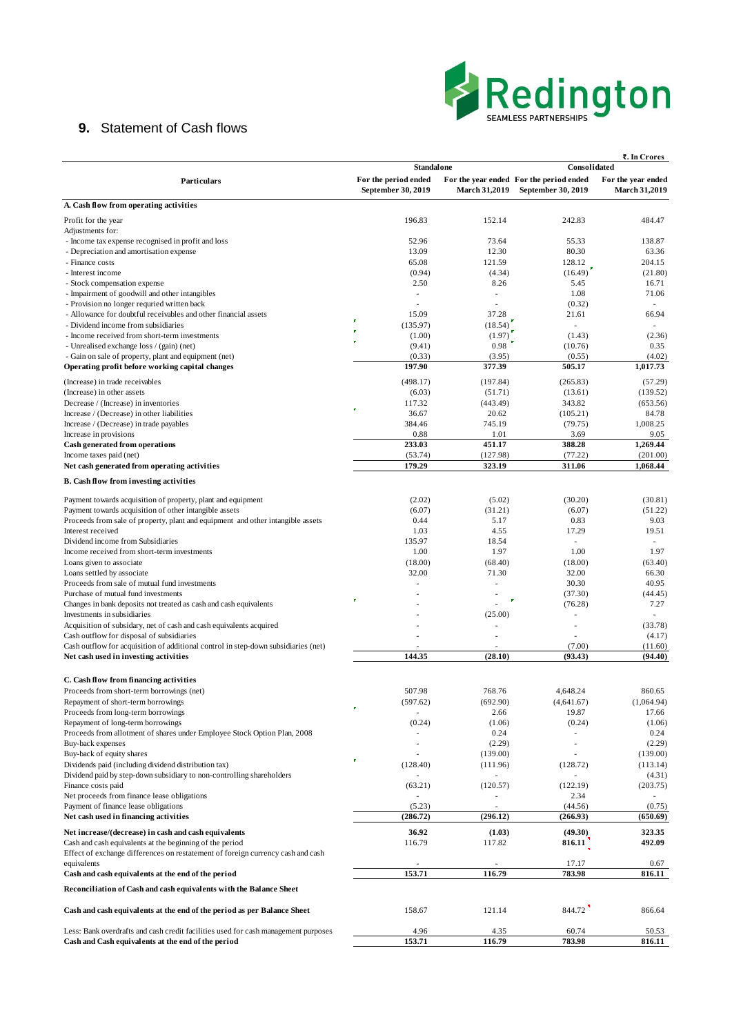## **9.** Statement of Cash flows

|                                                                                    |                                            |                      |                                                               | ₹. In Crores                               |  |  |
|------------------------------------------------------------------------------------|--------------------------------------------|----------------------|---------------------------------------------------------------|--------------------------------------------|--|--|
|                                                                                    | <b>Standal one</b><br>Consolidated         |                      |                                                               |                                            |  |  |
| Particulars                                                                        | For the period ended<br>September 30, 2019 | <b>March 31,2019</b> | For the year ended For the period ended<br>September 30, 2019 | For the year ended<br><b>March 31,2019</b> |  |  |
| A. Cash flow from operating activities                                             |                                            |                      |                                                               |                                            |  |  |
| Profit for the year                                                                | 196.83                                     | 152.14               | 242.83                                                        | 484.47                                     |  |  |
| Adjustments for:                                                                   |                                            |                      |                                                               |                                            |  |  |
| - Income tax expense recognised in profit and loss                                 | 52.96                                      | 73.64                | 55.33                                                         | 138.87                                     |  |  |
| - Depreciation and amortisation expense                                            | 13.09                                      | 12.30                | 80.30                                                         | 63.36                                      |  |  |
| - Finance costs<br>- Interest income                                               | 65.08<br>(0.94)                            | 121.59<br>(4.34)     | 128.12<br>(16.49)                                             | 204.15                                     |  |  |
| - Stock compensation expense                                                       | 2.50                                       | 8.26                 | 5.45                                                          | (21.80)<br>16.71                           |  |  |
| - Impairment of goodwill and other intangibles                                     |                                            |                      | 1.08                                                          | 71.06                                      |  |  |
| - Provision no longer requried written back                                        |                                            |                      | (0.32)                                                        |                                            |  |  |
| - Allowance for doubtful receivables and other financial assets                    | 15.09                                      | 37.28                | 21.61                                                         | 66.94                                      |  |  |
| - Dividend income from subsidiaries                                                | P<br>(135.97)                              | (18.54)              | $\overline{\phantom{a}}$                                      |                                            |  |  |
| - Income received from short-term investments                                      | (1.00)                                     | (1.97)               | (1.43)                                                        | (2.36)                                     |  |  |
| - Unrealised exchange loss / (gain) (net)                                          | (9.41)                                     | 0.98                 | (10.76)                                                       | 0.35                                       |  |  |
| - Gain on sale of property, plant and equipment (net)                              | (0.33)                                     | (3.95)               | (0.55)                                                        | (4.02)                                     |  |  |
| Operating profit before working capital changes                                    | 197.90                                     | 377.39               | 505.17                                                        | 1,017.73                                   |  |  |
| (Increase) in trade receivables                                                    | (498.17)                                   | (197.84)             | (265.83)                                                      | (57.29)                                    |  |  |
| (Increase) in other assets                                                         | (6.03)                                     | (51.71)              | (13.61)                                                       | (139.52)                                   |  |  |
| Decrease / (Increase) in inventories                                               | 117.32<br>P                                | (443.49)             | 343.82                                                        | (653.56)                                   |  |  |
| Increase / (Decrease) in other liabilities                                         | 36.67                                      | 20.62                | (105.21)                                                      | 84.78                                      |  |  |
| Increase / (Decrease) in trade payables                                            | 384.46                                     | 745.19               | (79.75)                                                       | 1,008.25                                   |  |  |
| Increase in provisions                                                             | 0.88                                       | 1.01                 | 3.69<br>388.28                                                | 9.05                                       |  |  |
| Cash generated from operations<br>Income taxes paid (net)                          | 233.03                                     | 451.17<br>(127.98)   | (77.22)                                                       | 1,269.44<br>(201.00)                       |  |  |
| Net cash generated from operating activities                                       | (53.74)<br>179.29                          | 323.19               | 311.06                                                        | 1,068.44                                   |  |  |
|                                                                                    |                                            |                      |                                                               |                                            |  |  |
| <b>B.</b> Cash flow from investing activities                                      |                                            |                      |                                                               |                                            |  |  |
| Payment towards acquisition of property, plant and equipment                       | (2.02)                                     | (5.02)               | (30.20)                                                       | (30.81)                                    |  |  |
| Payment towards acquisition of other intangible assets                             | (6.07)                                     | (31.21)              | (6.07)                                                        | (51.22)                                    |  |  |
| Proceeds from sale of property, plant and equipment and other intangible assets    | 0.44                                       | 5.17                 | 0.83                                                          | 9.03                                       |  |  |
| Interest received                                                                  | 1.03                                       | 4.55                 | 17.29                                                         | 19.51                                      |  |  |
| Dividend income from Subsidiaries                                                  | 135.97                                     | 18.54                | ٠                                                             |                                            |  |  |
| Income received from short-term investments                                        | 1.00                                       | 1.97                 | 1.00                                                          | 1.97                                       |  |  |
| Loans given to associate                                                           | (18.00)                                    | (68.40)              | (18.00)                                                       | (63.40)                                    |  |  |
| Loans settled by associate<br>Proceeds from sale of mutual fund investments        | 32.00                                      | 71.30<br>ä,          | 32.00<br>30.30                                                | 66.30<br>40.95                             |  |  |
| Purchase of mutual fund investments                                                |                                            |                      | (37.30)                                                       | (44.45)                                    |  |  |
| Changes in bank deposits not treated as cash and cash equivalents                  | P                                          |                      | (76.28)                                                       | 7.27                                       |  |  |
| Investments in subsidiaries                                                        |                                            | (25.00)              | $\overline{a}$                                                |                                            |  |  |
| Acquisition of subsidary, net of cash and cash equivalents acquired                |                                            |                      | ×,                                                            | (33.78)                                    |  |  |
| Cash outflow for disposal of subsidiaries                                          |                                            |                      |                                                               | (4.17)                                     |  |  |
| Cash outflow for acquisition of additional control in step-down subsidiaries (net) |                                            |                      | (7.00)                                                        | (11.60)                                    |  |  |
| Net cash used in investing activities                                              | 144.35                                     | (28.10)              | (93.43)                                                       | (94.40)                                    |  |  |
|                                                                                    |                                            |                      |                                                               |                                            |  |  |
| C. Cash flow from financing activities                                             |                                            |                      |                                                               |                                            |  |  |
| Proceeds from short-term borrowings (net)                                          | 507.98                                     | 768.76               | 4,648.24                                                      | 860.65                                     |  |  |
| Repayment of short-term borrowings<br>Proceeds from long-term borrowings           | (597.62)<br>P                              | (692.90)<br>2.66     | (4,641.67)                                                    | (1,064.94)                                 |  |  |
| Repayment of long-term borrowings                                                  | (0.24)                                     | (1.06)               | 19.87<br>(0.24)                                               | 17.66<br>(1.06)                            |  |  |
| Proceeds from allotment of shares under Employee Stock Option Plan, 2008           |                                            | 0.24                 |                                                               | 0.24                                       |  |  |
| Buy-back expenses                                                                  |                                            | (2.29)               | $\overline{a}$                                                | (2.29)                                     |  |  |
| Buy-back of equity shares                                                          |                                            | (139.00)             |                                                               | (139.00)                                   |  |  |
| Dividends paid (including dividend distribution tax)                               | P<br>(128.40)                              | (111.96)             | (128.72)                                                      | (113.14)                                   |  |  |
| Dividend paid by step-down subsidiary to non-controlling shareholders              |                                            |                      |                                                               | (4.31)                                     |  |  |
| Finance costs paid                                                                 | (63.21)                                    | (120.57)             | (122.19)                                                      | (203.75)                                   |  |  |
| Net proceeds from finance lease obligations                                        |                                            |                      | 2.34                                                          |                                            |  |  |
| Payment of finance lease obligations                                               | (5.23)                                     |                      | (44.56)                                                       | (0.75)                                     |  |  |
| Net cash used in financing activities                                              | (286.72)                                   | (296.12)             | (266.93)                                                      | (650.69)                                   |  |  |
| Net increase/(decrease) in cash and cash equivalents                               | 36.92                                      | (1.03)               | (49.30)                                                       | 323.35                                     |  |  |
| Cash and cash equivalents at the beginning of the period                           | 116.79                                     | 117.82               | 816.11                                                        | 492.09                                     |  |  |
| Effect of exchange differences on restatement of foreign currency cash and cash    |                                            |                      |                                                               |                                            |  |  |
| equivalents<br>Cash and cash equivalents at the end of the period                  | 153.71                                     | 116.79               | 17.17<br>783.98                                               | 0.67<br>816.11                             |  |  |
|                                                                                    |                                            |                      |                                                               |                                            |  |  |
| Reconciliation of Cash and cash equivalents with the Balance Sheet                 |                                            |                      |                                                               |                                            |  |  |

**Cash and cash equivalents at the end of the period as per Balance Sheet 158.67** 121.14 844.72 866.64

Less: Bank overdrafts and cash credit facilities used for cash management purposes 4.96 4.35 60.74 50.53 Cash and Cash equivalents at the end of the period 153.71 116.79 783.98 816.11